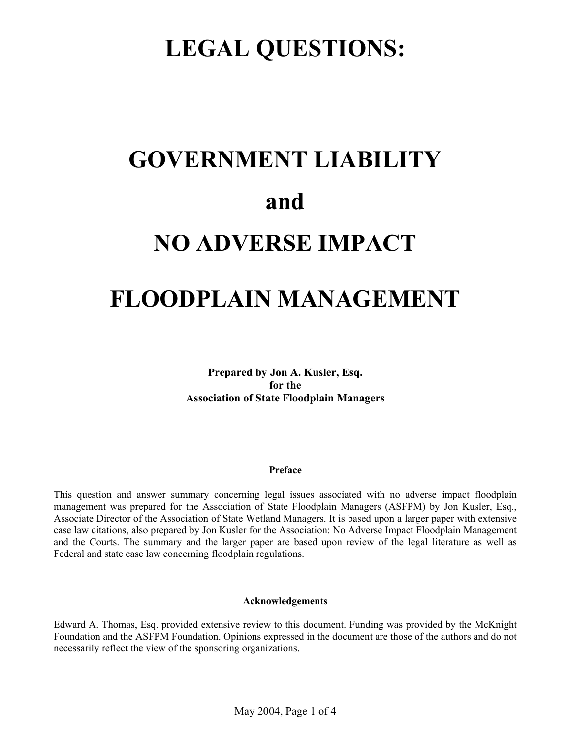# **LEGAL QUESTIONS:**

# **GOVERNMENT LIABILITY and NO ADVERSE IMPACT**

# **FLOODPLAIN MANAGEMENT**

**Prepared by Jon A. Kusler, Esq. for the Association of State Floodplain Managers**

# **Preface**

This question and answer summary concerning legal issues associated with no adverse impact floodplain management was prepared for the Association of State Floodplain Managers (ASFPM) by Jon Kusler, Esq., Associate Director of the Association of State Wetland Managers. It is based upon a larger paper with extensive case law citations, also prepared by Jon Kusler for the Association: No Adverse Impact Floodplain Management and the Courts. The summary and the larger paper are based upon review of the legal literature as well as Federal and state case law concerning floodplain regulations.

# **Acknowledgements**

Edward A. Thomas, Esq. provided extensive review to this document. Funding was provided by the McKnight Foundation and the ASFPM Foundation. Opinions expressed in the document are those of the authors and do not necessarily reflect the view of the sponsoring organizations.

May 2004, Page 1 of 4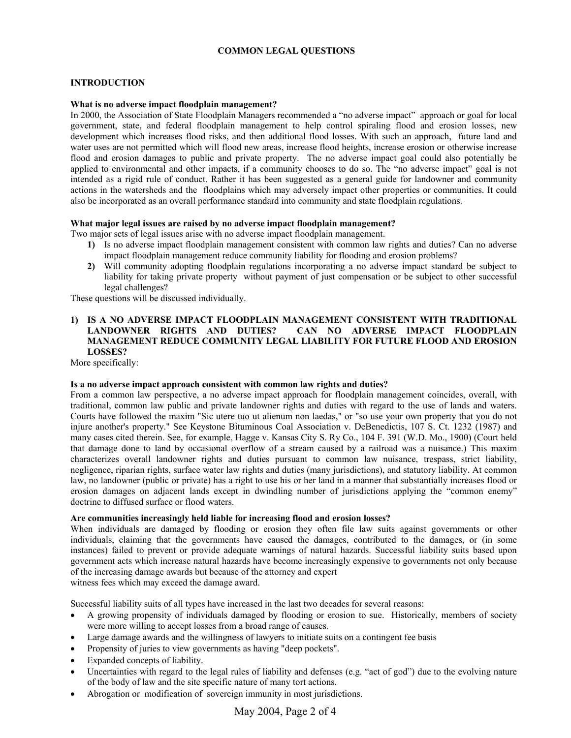# **COMMON LEGAL QUESTIONS**

# **INTRODUCTION**

#### **What is no adverse impact floodplain management?**

In 2000, the Association of State Floodplain Managers recommended a "no adverse impact" approach or goal for local government, state, and federal floodplain management to help control spiraling flood and erosion losses, new development which increases flood risks, and then additional flood losses. With such an approach, future land and water uses are not permitted which will flood new areas, increase flood heights, increase erosion or otherwise increase flood and erosion damages to public and private property. The no adverse impact goal could also potentially be applied to environmental and other impacts, if a community chooses to do so. The "no adverse impact" goal is not intended as a rigid rule of conduct. Rather it has been suggested as a general guide for landowner and community actions in the watersheds and the floodplains which may adversely impact other properties or communities. It could also be incorporated as an overall performance standard into community and state floodplain regulations.

## **What major legal issues are raised by no adverse impact floodplain management?**

Two major sets of legal issues arise with no adverse impact floodplain management.

- **1)** Is no adverse impact floodplain management consistent with common law rights and duties? Can no adverse impact floodplain management reduce community liability for flooding and erosion problems?
- **2)** Will community adopting floodplain regulations incorporating a no adverse impact standard be subject to liability for taking private property without payment of just compensation or be subject to other successful legal challenges?

These questions will be discussed individually.

# **1) IS A NO ADVERSE IMPACT FLOODPLAIN MANAGEMENT CONSISTENT WITH TRADITIONAL LANDOWNER RIGHTS AND DUTIES? CAN NO ADVERSE IMPACT FLOODPLAIN MANAGEMENT REDUCE COMMUNITY LEGAL LIABILITY FOR FUTURE FLOOD AND EROSION LOSSES?**

More specifically:

#### **Is a no adverse impact approach consistent with common law rights and duties?**

From a common law perspective, a no adverse impact approach for floodplain management coincides, overall, with traditional, common law public and private landowner rights and duties with regard to the use of lands and waters. Courts have followed the maxim "Sic utere tuo ut alienum non laedas," or "so use your own property that you do not injure another's property." See Keystone Bituminous Coal Association v. DeBenedictis, 107 S. Ct. 1232 (1987) and many cases cited therein. See, for example, Hagge v. Kansas City S. Ry Co., 104 F. 391 (W.D. Mo., 1900) (Court held that damage done to land by occasional overflow of a stream caused by a railroad was a nuisance.) This maxim characterizes overall landowner rights and duties pursuant to common law nuisance, trespass, strict liability, negligence, riparian rights, surface water law rights and duties (many jurisdictions), and statutory liability. At common law, no landowner (public or private) has a right to use his or her land in a manner that substantially increases flood or erosion damages on adjacent lands except in dwindling number of jurisdictions applying the "common enemy" doctrine to diffused surface or flood waters.

#### **Are communities increasingly held liable for increasing flood and erosion losses?**

When individuals are damaged by flooding or erosion they often file law suits against governments or other individuals, claiming that the governments have caused the damages, contributed to the damages, or (in some instances) failed to prevent or provide adequate warnings of natural hazards. Successful liability suits based upon government acts which increase natural hazards have become increasingly expensive to governments not only because of the increasing damage awards but because of the attorney and expert witness fees which may exceed the damage award.

Successful liability suits of all types have increased in the last two decades for several reasons:

- A growing propensity of individuals damaged by flooding or erosion to sue. Historically, members of society were more willing to accept losses from a broad range of causes.
- Large damage awards and the willingness of lawyers to initiate suits on a contingent fee basis
- Propensity of juries to view governments as having "deep pockets".
- Expanded concepts of liability.
- Uncertainties with regard to the legal rules of liability and defenses (e.g. "act of god") due to the evolving nature of the body of law and the site specific nature of many tort actions.
- Abrogation or modification of sovereign immunity in most jurisdictions.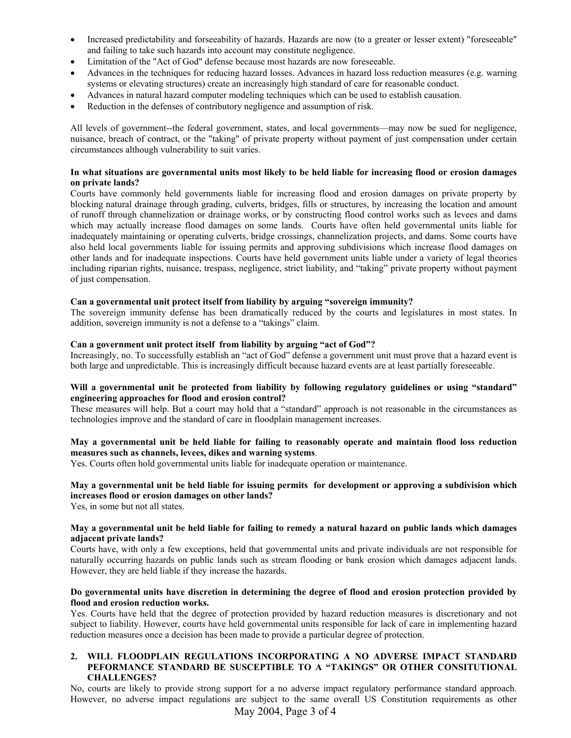- Increased predictability and forseeability of hazards. Hazards are now (to a greater or lesser extent) "foreseeable" and failing to take such hazards into account may constitute negligence.
- Limitation of the "Act of God" defense because most hazards are now foreseeable.
- Advances in the techniques for reducing hazard losses. Advances in hazard loss reduction measures (e.g. warning systems or elevating structures) create an increasingly high standard of care for reasonable conduct.
- Advances in natural hazard computer modeling techniques which can be used to establish causation.
- Reduction in the defenses of contributory negligence and assumption of risk.

All levels of government--the federal government, states, and local governments—may now be sued for negligence, nuisance, breach of contract, or the "taking" of private property without payment of just compensation under certain circumstances although vulnerability to suit varies.

#### **In what situations are governmental units most likely to be held liable for increasing flood or erosion damages on private lands?**

Courts have commonly held governments liable for increasing flood and erosion damages on private property by blocking natural drainage through grading, culverts, bridges, fills or structures, by increasing the location and amount of runoff through channelization or drainage works, or by constructing flood control works such as levees and dams which may actually increase flood damages on some lands. Courts have often held governmental units liable for inadequately maintaining or operating culverts, bridge crossings, channelization projects, and dams. Some courts have also held local governments liable for issuing permits and approving subdivisions which increase flood damages on other lands and for inadequate inspections. Courts have held government units liable under a variety of legal theories including riparian rights, nuisance, trespass, negligence, strict liability, and "taking" private property without payment of just compensation.

#### **Can a governmental unit protect itself from liability by arguing "sovereign immunity?**

The sovereign immunity defense has been dramatically reduced by the courts and legislatures in most states. In addition, sovereign immunity is not a defense to a "takings" claim.

#### **Can a government unit protect itself from liability by arguing "act of God"?**

Increasingly, no. To successfully establish an "act of God" defense a government unit must prove that a hazard event is both large and unpredictable. This is increasingly difficult because hazard events are at least partially foreseeable.

#### **Will a governmental unit be protected from liability by following regulatory guidelines or using "standard" engineering approaches for flood and erosion control?**

These measures will help. But a court may hold that a "standard" approach is not reasonable in the circumstances as technologies improve and the standard of care in floodplain management increases.

## **May a governmental unit be held liable for failing to reasonably operate and maintain flood loss reduction measures such as channels, levees, dikes and warning systems**.

Yes. Courts often hold governmental units liable for inadequate operation or maintenance.

# **May a governmental unit be held liable for issuing permits for development or approving a subdivision which increases flood or erosion damages on other lands?**

Yes, in some but not all states.

#### **May a governmental unit be held liable for failing to remedy a natural hazard on public lands which damages adjacent private lands?**

Courts have, with only a few exceptions, held that governmental units and private individuals are not responsible for naturally occurring hazards on public lands such as stream flooding or bank erosion which damages adjacent lands. However, they are held liable if they increase the hazards.

#### **Do governmental units have discretion in determining the degree of flood and erosion protection provided by flood and erosion reduction works.**

Yes. Courts have held that the degree of protection provided by hazard reduction measures is discretionary and not subject to liability. However, courts have held governmental units responsible for lack of care in implementing hazard reduction measures once a decision has been made to provide a particular degree of protection.

## **2. WILL FLOODPLAIN REGULATIONS INCORPORATING A NO ADVERSE IMPACT STANDARD PEFORMANCE STANDARD BE SUSCEPTIBLE TO A "TAKINGS" OR OTHER CONSITUTIONAL CHALLENGES?**

No, courts are likely to provide strong support for a no adverse impact regulatory performance standard approach. However, no adverse impact regulations are subject to the same overall US Constitution requirements as other

May 2004, Page 3 of 4